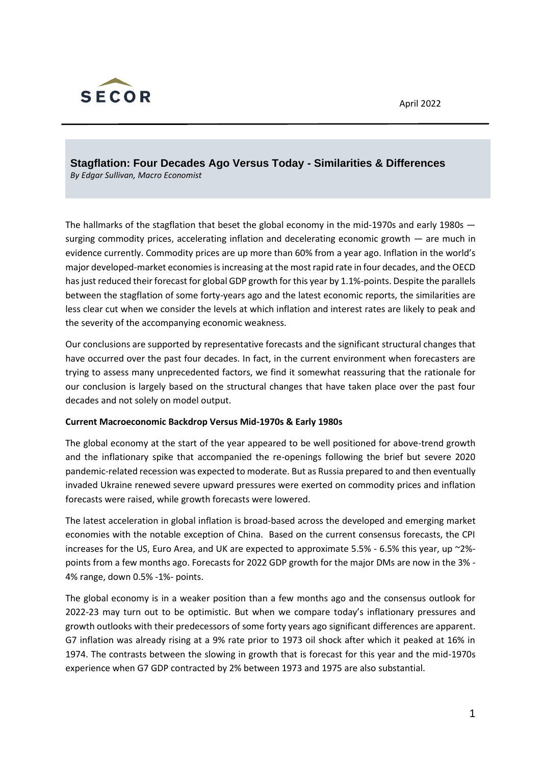

**Stagflation: Four Decades Ago Versus Today - Similarities & Differences** *By Edgar Sullivan, Macro Economist*

The hallmarks of the stagflation that beset the global economy in the mid-1970s and early 1980s surging commodity prices, accelerating inflation and decelerating economic growth — are much in evidence currently. Commodity prices are up more than 60% from a year ago. Inflation in the world's major developed-market economies is increasing at the most rapid rate in four decades, and the OECD has just reduced their forecast for global GDP growth for this year by 1.1%-points. Despite the parallels between the stagflation of some forty-years ago and the latest economic reports, the similarities are less clear cut when we consider the levels at which inflation and interest rates are likely to peak and the severity of the accompanying economic weakness.

Our conclusions are supported by representative forecasts and the significant structural changes that have occurred over the past four decades. In fact, in the current environment when forecasters are trying to assess many unprecedented factors, we find it somewhat reassuring that the rationale for our conclusion is largely based on the structural changes that have taken place over the past four decades and not solely on model output.

## **Current Macroeconomic Backdrop Versus Mid-1970s & Early 1980s**

The global economy at the start of the year appeared to be well positioned for above-trend growth and the inflationary spike that accompanied the re-openings following the brief but severe 2020 pandemic-related recession was expected to moderate. But as Russia prepared to and then eventually invaded Ukraine renewed severe upward pressures were exerted on commodity prices and inflation forecasts were raised, while growth forecasts were lowered.

The latest acceleration in global inflation is broad-based across the developed and emerging market economies with the notable exception of China. Based on the current consensus forecasts, the CPI increases for the US, Euro Area, and UK are expected to approximate 5.5% - 6.5% this year, up ~2% points from a few months ago. Forecasts for 2022 GDP growth for the major DMs are now in the 3% - 4% range, down 0.5% -1%- points.

The global economy is in a weaker position than a few months ago and the consensus outlook for 2022-23 may turn out to be optimistic. But when we compare today's inflationary pressures and growth outlooks with their predecessors of some forty years ago significant differences are apparent. G7 inflation was already rising at a 9% rate prior to 1973 oil shock after which it peaked at 16% in 1974. The contrasts between the slowing in growth that is forecast for this year and the mid-1970s experience when G7 GDP contracted by 2% between 1973 and 1975 are also substantial.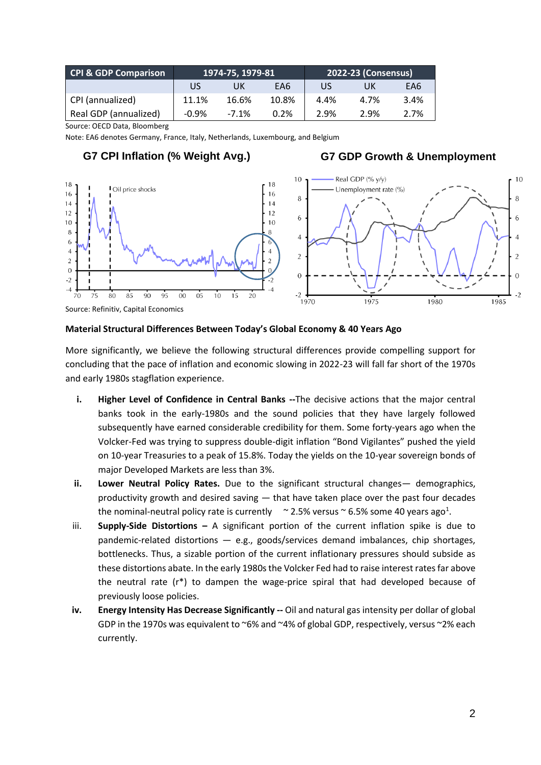| <b>CPI &amp; GDP Comparison</b> | 1974-75, 1979-81 |         |       | 2022-23 (Consensus) |      |      |
|---------------------------------|------------------|---------|-------|---------------------|------|------|
|                                 | US               | UK      | EA6   | US                  | UK   | EA6  |
| CPI (annualized)                | 11.1%            | 16.6%   | 10.8% | 4.4%                | 4.7% | 3.4% |
| Real GDP (annualized)           | $-0.9%$          | $-7.1%$ | 0.2%  | 2.9%                | 2.9% | 2.7% |

Source: OECD Data, Bloomberg

Note: EA6 denotes Germany, France, Italy, Netherlands, Luxembourg, and Belgium

# **G7 CPI Inflation (% Weight Avg.) G7 GDP Growth & Unemployment**



### **Material Structural Differences Between Today's Global Economy & 40 Years Ago**

More significantly, we believe the following structural differences provide compelling support for concluding that the pace of inflation and economic slowing in 2022-23 will fall far short of the 1970s and early 1980s stagflation experience.

- **i. Higher Level of Confidence in Central Banks --**The decisive actions that the major central banks took in the early-1980s and the sound policies that they have largely followed subsequently have earned considerable credibility for them. Some forty-years ago when the Volcker-Fed was trying to suppress double-digit inflation "Bond Vigilantes" pushed the yield on 10-year Treasuries to a peak of 15.8%. Today the yields on the 10-year sovereign bonds of major Developed Markets are less than 3%.
- **ii. Lower Neutral Policy Rates.** Due to the significant structural changes— demographics, productivity growth and desired saving — that have taken place over the past four decades the nominal-neutral policy rate is currently  $\sim$  2.5% versus  $\sim$  6.5% some 40 years ago<sup>1</sup>.
- iii. **Supply-Side Distortions –** A significant portion of the current inflation spike is due to pandemic-related distortions — e.g., goods/services demand imbalances, chip shortages, bottlenecks. Thus, a sizable portion of the current inflationary pressures should subside as these distortions abate. In the early 1980s the Volcker Fed had to raise interest rates far above the neutral rate  $(r^*)$  to dampen the wage-price spiral that had developed because of previously loose policies.
- **iv. Energy Intensity Has Decrease Significantly --** Oil and natural gas intensity per dollar of global GDP in the 1970s was equivalent to  $\sim$ 6% and  $\sim$ 4% of global GDP, respectively, versus  $\sim$ 2% each currently.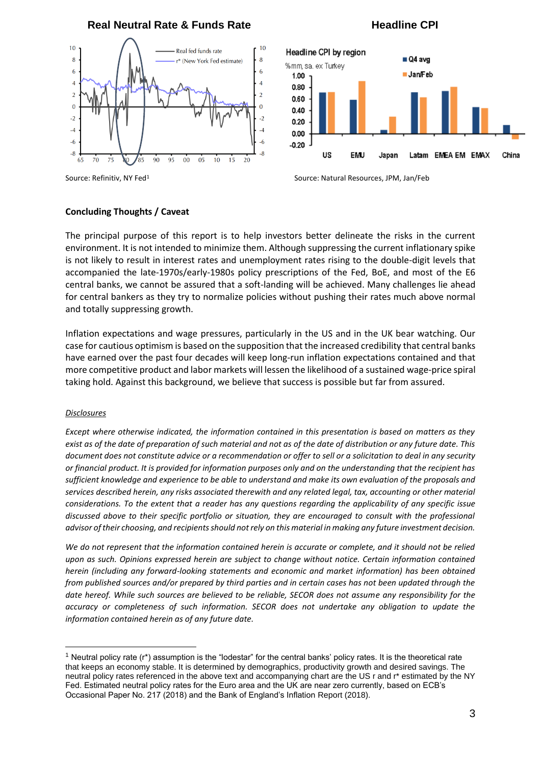

### **Concluding Thoughts / Caveat**

The principal purpose of this report is to help investors better delineate the risks in the current environment. It is not intended to minimize them. Although suppressing the current inflationary spike is not likely to result in interest rates and unemployment rates rising to the double-digit levels that accompanied the late-1970s/early-1980s policy prescriptions of the Fed, BoE, and most of the E6 central banks, we cannot be assured that a soft-landing will be achieved. Many challenges lie ahead for central bankers as they try to normalize policies without pushing their rates much above normal and totally suppressing growth.

Inflation expectations and wage pressures, particularly in the US and in the UK bear watching. Our case for cautious optimism is based on the supposition that the increased credibility that central banks have earned over the past four decades will keep long-run inflation expectations contained and that more competitive product and labor markets will lessen the likelihood of a sustained wage-price spiral taking hold. Against this background, we believe that success is possible but far from assured.

#### *Disclosures*

*Except where otherwise indicated, the information contained in this presentation is based on matters as they exist as of the date of preparation of such material and not as of the date of distribution or any future date. This document does not constitute advice or a recommendation or offer to sell or a solicitation to deal in any security or financial product. It is provided for information purposes only and on the understanding that the recipient has sufficient knowledge and experience to be able to understand and make its own evaluation of the proposals and services described herein, any risks associated therewith and any related legal, tax, accounting or other material considerations. To the extent that a reader has any questions regarding the applicability of any specific issue discussed above to their specific portfolio or situation, they are encouraged to consult with the professional advisor of their choosing, and recipients should not rely on this material in making any future investment decision.* 

*We do not represent that the information contained herein is accurate or complete, and it should not be relied upon as such. Opinions expressed herein are subject to change without notice. Certain information contained herein (including any forward-looking statements and economic and market information) has been obtained from published sources and/or prepared by third parties and in certain cases has not been updated through the date hereof. While such sources are believed to be reliable, SECOR does not assume any responsibility for the accuracy or completeness of such information. SECOR does not undertake any obligation to update the information contained herein as of any future date.* 

Source: Refinitiv, NY Fed<sup>1</sup> Source: Natural Resources, JPM, Jan/Feb

<sup>&</sup>lt;sup>1</sup> Neutral policy rate ( $r^*$ ) assumption is the "lodestar" for the central banks' policy rates. It is the theoretical rate that keeps an economy stable. It is determined by demographics, productivity growth and desired savings. The neutral policy rates referenced in the above text and accompanying chart are the US r and r\* estimated by the NY Fed. Estimated neutral policy rates for the Euro area and the UK are near zero currently, based on ECB's Occasional Paper No. 217 (2018) and the Bank of England's Inflation Report (2018).